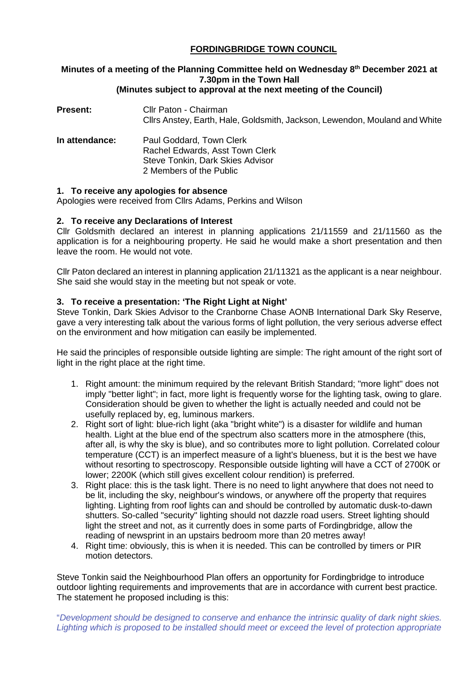## **FORDINGBRIDGE TOWN COUNCIL**

# **Minutes of a meeting of the Planning Committee held on Wednesday 8th December 2021 at 7.30pm in the Town Hall**

## **(Minutes subject to approval at the next meeting of the Council)**

- **Present:** Cllr Paton Chairman Cllrs Anstey, Earth, Hale, Goldsmith, Jackson, Lewendon, Mouland and White
- **In attendance:** Paul Goddard, Town Clerk Rachel Edwards, Asst Town Clerk Steve Tonkin, Dark Skies Advisor 2 Members of the Public

## **1. To receive any apologies for absence**

Apologies were received from Cllrs Adams, Perkins and Wilson

## **2. To receive any Declarations of Interest**

Cllr Goldsmith declared an interest in planning applications 21/11559 and 21/11560 as the application is for a neighbouring property. He said he would make a short presentation and then leave the room. He would not vote.

Cllr Paton declared an interest in planning application 21/11321 as the applicant is a near neighbour. She said she would stay in the meeting but not speak or vote.

### **3. To receive a presentation: 'The Right Light at Night'**

Steve Tonkin, Dark Skies Advisor to the Cranborne Chase AONB International Dark Sky Reserve, gave a very interesting talk about the various forms of light pollution, the very serious adverse effect on the environment and how mitigation can easily be implemented.

He said the principles of responsible outside lighting are simple: The right amount of the right sort of light in the right place at the right time.

- 1. Right amount: the minimum required by the relevant British Standard; "more light" does not imply "better light"; in fact, more light is frequently worse for the lighting task, owing to glare. Consideration should be given to whether the light is actually needed and could not be usefully replaced by, eg, luminous markers.
- 2. Right sort of light: blue-rich light (aka "bright white") is a disaster for wildlife and human health. Light at the blue end of the spectrum also scatters more in the atmosphere (this, after all, is why the sky is blue), and so contributes more to light pollution. Correlated colour temperature (CCT) is an imperfect measure of a light's blueness, but it is the best we have without resorting to spectroscopy. Responsible outside lighting will have a CCT of 2700K or lower; 2200K (which still gives excellent colour rendition) is preferred.
- 3. Right place: this is the task light. There is no need to light anywhere that does not need to be lit, including the sky, neighbour's windows, or anywhere off the property that requires lighting. Lighting from roof lights can and should be controlled by automatic dusk-to-dawn shutters. So-called "security" lighting should not dazzle road users. Street lighting should light the street and not, as it currently does in some parts of Fordingbridge, allow the reading of newsprint in an upstairs bedroom more than 20 metres away!
- 4. Right time: obviously, this is when it is needed. This can be controlled by timers or PIR motion detectors.

Steve Tonkin said the Neighbourhood Plan offers an opportunity for Fordingbridge to introduce outdoor lighting requirements and improvements that are in accordance with current best practice. The statement he proposed including is this:

"*Development should be designed to conserve and enhance the intrinsic quality of dark night skies. Lighting which is proposed to be installed should meet or exceed the level of protection appropriate*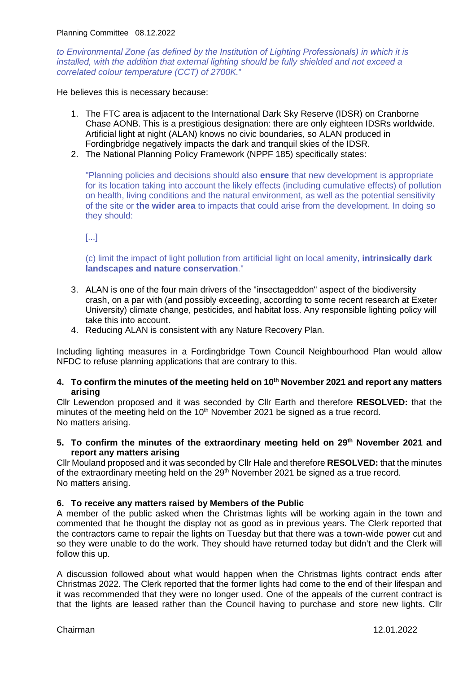*to Environmental Zone (as defined by the Institution of Lighting Professionals) in which it is installed, with the addition that external lighting should be fully shielded and not exceed a correlated colour temperature (CCT) of 2700K.*"

He believes this is necessary because:

- 1. The FTC area is adjacent to the International Dark Sky Reserve (IDSR) on Cranborne Chase AONB. This is a prestigious designation: there are only eighteen IDSRs worldwide. Artificial light at night (ALAN) knows no civic boundaries, so ALAN produced in Fordingbridge negatively impacts the dark and tranquil skies of the IDSR.
- 2. The National Planning Policy Framework (NPPF 185) specifically states:

"Planning policies and decisions should also **ensure** that new development is appropriate for its location taking into account the likely effects (including cumulative effects) of pollution on health, living conditions and the natural environment, as well as the potential sensitivity of the site or **the wider area** to impacts that could arise from the development. In doing so they should:

[...]

(c) limit the impact of light pollution from artificial light on local amenity, **intrinsically dark landscapes and nature conservation**."

- 3. ALAN is one of the four main drivers of the "insectageddon" aspect of the biodiversity crash, on a par with (and possibly exceeding, according to some recent research at Exeter University) climate change, pesticides, and habitat loss. Any responsible lighting policy will take this into account.
- 4. Reducing ALAN is consistent with any Nature Recovery Plan.

Including lighting measures in a Fordingbridge Town Council Neighbourhood Plan would allow NFDC to refuse planning applications that are contrary to this.

### **4. To confirm the minutes of the meeting held on 10th November 2021 and report any matters arising**

Cllr Lewendon proposed and it was seconded by Cllr Earth and therefore **RESOLVED:** that the minutes of the meeting held on the 10<sup>th</sup> November 2021 be signed as a true record. No matters arising.

#### **5. To confirm the minutes of the extraordinary meeting held on 29th November 2021 and report any matters arising**

Cllr Mouland proposed and it was seconded by Cllr Hale and therefore **RESOLVED:** that the minutes of the extraordinary meeting held on the 29<sup>th</sup> November 2021 be signed as a true record. No matters arising.

## **6. To receive any matters raised by Members of the Public**

A member of the public asked when the Christmas lights will be working again in the town and commented that he thought the display not as good as in previous years. The Clerk reported that the contractors came to repair the lights on Tuesday but that there was a town-wide power cut and so they were unable to do the work. They should have returned today but didn't and the Clerk will follow this up.

A discussion followed about what would happen when the Christmas lights contract ends after Christmas 2022. The Clerk reported that the former lights had come to the end of their lifespan and it was recommended that they were no longer used. One of the appeals of the current contract is that the lights are leased rather than the Council having to purchase and store new lights. Cllr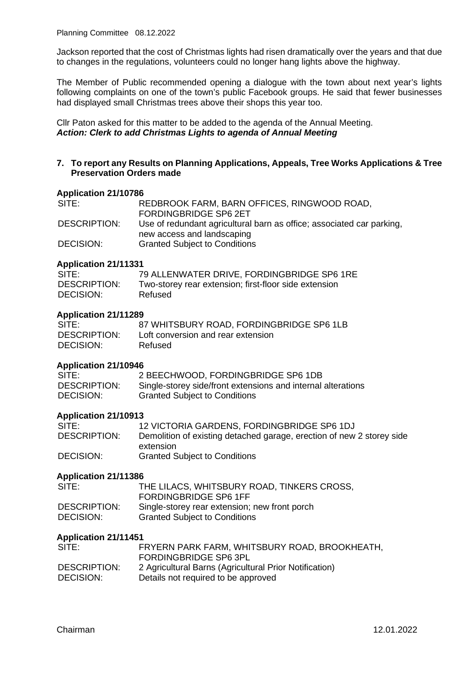Jackson reported that the cost of Christmas lights had risen dramatically over the years and that due to changes in the regulations, volunteers could no longer hang lights above the highway.

The Member of Public recommended opening a dialogue with the town about next year's lights following complaints on one of the town's public Facebook groups. He said that fewer businesses had displayed small Christmas trees above their shops this year too.

Cllr Paton asked for this matter to be added to the agenda of the Annual Meeting. *Action: Clerk to add Christmas Lights to agenda of Annual Meeting*

## **7. To report any Results on Planning Applications, Appeals, Tree Works Applications & Tree Preservation Orders made**

#### **Application 21/10786**

| SITE:        | REDBROOK FARM, BARN OFFICES, RINGWOOD ROAD,                           |
|--------------|-----------------------------------------------------------------------|
|              | <b>FORDINGBRIDGE SP6 2ET</b>                                          |
| DESCRIPTION: | Use of redundant agricultural barn as office; associated car parking, |
|              | new access and landscaping                                            |
| DECISION:    | <b>Granted Subject to Conditions</b>                                  |

#### **Application 21/11331**

| SITE:               | 79 ALLENWATER DRIVE, FORDINGBRIDGE SP6 1RE            |
|---------------------|-------------------------------------------------------|
| <b>DESCRIPTION:</b> | Two-storey rear extension; first-floor side extension |
| DECISION:           | Refused                                               |

#### **Application 21/11289**

| SITE:        | 87 WHITSBURY ROAD, FORDINGBRIDGE SP6 1LB |
|--------------|------------------------------------------|
| DESCRIPTION: | Loft conversion and rear extension       |
| DECISION:    | Refused                                  |

#### **Application 21/10946**

| SITE:               | 2 BEECHWOOD, FORDINGBRIDGE SP6 1DB                           |
|---------------------|--------------------------------------------------------------|
| <b>DESCRIPTION:</b> | Single-storey side/front extensions and internal alterations |
| DECISION:           | <b>Granted Subject to Conditions</b>                         |

#### **Application 21/10913**

| SITE:               | 12 VICTORIA GARDENS, FORDINGBRIDGE SP6 1DJ                            |
|---------------------|-----------------------------------------------------------------------|
| <b>DESCRIPTION:</b> | Demolition of existing detached garage, erection of new 2 storey side |
|                     | extension                                                             |
| DECISION:           | <b>Granted Subject to Conditions</b>                                  |

#### **Application 21/11386**

| SITE:        | THE LILACS, WHITSBURY ROAD, TINKERS CROSS,    |
|--------------|-----------------------------------------------|
|              | <b>FORDINGBRIDGE SP6 1FF</b>                  |
| DESCRIPTION: | Single-storey rear extension; new front porch |
| DECISION:    | <b>Granted Subject to Conditions</b>          |

#### **Application 21/11451**

| SITE:               | FRYERN PARK FARM, WHITSBURY ROAD, BROOKHEATH,<br>FORDINGBRIDGE SP6 3PL |
|---------------------|------------------------------------------------------------------------|
| <b>DESCRIPTION:</b> | 2 Agricultural Barns (Agricultural Prior Notification)                 |
| DECISION:           | Details not required to be approved                                    |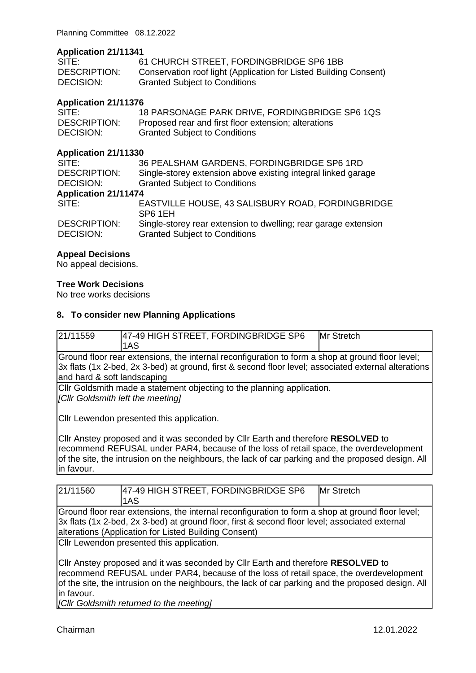## **Application 21/11341**

| SITE:        | 61 CHURCH STREET, FORDINGBRIDGE SP6 1BB                           |
|--------------|-------------------------------------------------------------------|
| DESCRIPTION: | Conservation roof light (Application for Listed Building Consent) |
| DECISION:    | <b>Granted Subject to Conditions</b>                              |

## **Application 21/11376**

| SITE:               | 18 PARSONAGE PARK DRIVE, FORDINGBRIDGE SP6 1QS       |
|---------------------|------------------------------------------------------|
| <b>DESCRIPTION:</b> | Proposed rear and first floor extension; alterations |
| DECISION:           | <b>Granted Subject to Conditions</b>                 |

### **Application 21/11330**

| SITE:                            | 36 PEALSHAM GARDENS, FORDINGBRIDGE SP6 1RD                                                              |  |
|----------------------------------|---------------------------------------------------------------------------------------------------------|--|
| <b>DESCRIPTION:</b>              | Single-storey extension above existing integral linked garage                                           |  |
| DECISION:                        | <b>Granted Subject to Conditions</b>                                                                    |  |
| <b>Application 21/11474</b>      |                                                                                                         |  |
| SITE:                            | EASTVILLE HOUSE, 43 SALISBURY ROAD, FORDINGBRIDGE<br>SP6 1EH                                            |  |
| <b>DESCRIPTION:</b><br>DECISION: | Single-storey rear extension to dwelling; rear garage extension<br><b>Granted Subject to Conditions</b> |  |
|                                  |                                                                                                         |  |

### **Appeal Decisions**

No appeal decisions.

## **Tree Work Decisions**

No tree works decisions

## **8. To consider new Planning Applications**

| 21/11559                                                                                             | 47-49 HIGH STREET, FORDINGBRIDGE SP6 | Mr Stretch |
|------------------------------------------------------------------------------------------------------|--------------------------------------|------------|
|                                                                                                      | 1AS                                  |            |
| Ground floor rear extensions, the internal reconfiguration to form a shop at ground floor level;     |                                      |            |
| 3x flats (1x 2-bed, 2x 3-bed) at ground, first & second floor level; associated external alterations |                                      |            |
| and hard & soft landscaping                                                                          |                                      |            |
| Cllr Goldsmith made a statement objecting to the planning application.                               |                                      |            |
| [Cllr Goldsmith left the meeting]                                                                    |                                      |            |
|                                                                                                      |                                      |            |
| Cllr Lewendon presented this application.                                                            |                                      |            |
|                                                                                                      |                                      |            |

Cllr Anstey proposed and it was seconded by Cllr Earth and therefore **RESOLVED** to recommend REFUSAL under PAR4, because of the loss of retail space, the overdevelopment of the site, the intrusion on the neighbours, the lack of car parking and the proposed design. All in favour.

| 21/11560                                                                                                                                                                                                                                                    | 47-49 HIGH STREET, FORDINGBRIDGE SP6<br>1AS                                                                                                                                                                                                                                                                                   | Mr Stretch |  |
|-------------------------------------------------------------------------------------------------------------------------------------------------------------------------------------------------------------------------------------------------------------|-------------------------------------------------------------------------------------------------------------------------------------------------------------------------------------------------------------------------------------------------------------------------------------------------------------------------------|------------|--|
| Ground floor rear extensions, the internal reconfiguration to form a shop at ground floor level;<br>3x flats (1x 2-bed, 2x 3-bed) at ground floor, first & second floor level; associated external<br>alterations (Application for Listed Building Consent) |                                                                                                                                                                                                                                                                                                                               |            |  |
| in favour.<br>[Cllr Goldsmith returned to the meeting]                                                                                                                                                                                                      | Cllr Lewendon presented this application.<br>CIIr Anstey proposed and it was seconded by CIIr Earth and therefore RESOLVED to<br>recommend REFUSAL under PAR4, because of the loss of retail space, the overdevelopment<br>of the site, the intrusion on the neighbours, the lack of car parking and the proposed design. All |            |  |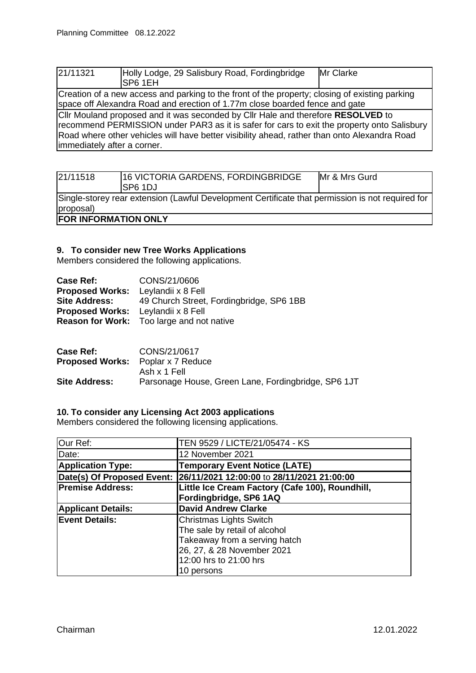| 21/11321                    | Holly Lodge, 29 Salisbury Road, Fordingbridge<br>SP6 1EH                                                                                                                                                                                                                        | Mr Clarke |
|-----------------------------|---------------------------------------------------------------------------------------------------------------------------------------------------------------------------------------------------------------------------------------------------------------------------------|-----------|
|                             | Creation of a new access and parking to the front of the property; closing of existing parking<br>space off Alexandra Road and erection of 1.77m close boarded fence and gate                                                                                                   |           |
| immediately after a corner. | CIIr Mouland proposed and it was seconded by CIIr Hale and therefore RESOLVED to<br>recommend PERMISSION under PAR3 as it is safer for cars to exit the property onto Salisbury<br>Road where other vehicles will have better visibility ahead, rather than onto Alexandra Road |           |

| 21/11518                    | 16 VICTORIA GARDENS, FORDINGBRIDGE<br>ISP6 1DJ                                                   | Mr & Mrs Gurd |
|-----------------------------|--------------------------------------------------------------------------------------------------|---------------|
| proposal)                   | Single-storey rear extension (Lawful Development Certificate that permission is not required for |               |
| <b>FOR INFORMATION ONLY</b> |                                                                                                  |               |

## **9. To consider new Tree Works Applications**

Members considered the following applications.

| CONS/21/0606                                     |
|--------------------------------------------------|
| <b>Proposed Works:</b> Leylandii x 8 Fell        |
| 49 Church Street, Fordingbridge, SP6 1BB         |
| <b>Proposed Works:</b> Leylandii x 8 Fell        |
| <b>Reason for Work:</b> Too large and not native |
|                                                  |

| <b>Case Ref:</b>                         | CONS/21/0617                                        |
|------------------------------------------|-----------------------------------------------------|
| <b>Proposed Works:</b> Poplar x 7 Reduce |                                                     |
|                                          | Ash x 1 Fell                                        |
| <b>Site Address:</b>                     | Parsonage House, Green Lane, Fordingbridge, SP6 1JT |

## **10. To consider any Licensing Act 2003 applications**

Members considered the following licensing applications.

| Our Ref:                  | TEN 9529 / LICTE/21/05474 - KS                                        |
|---------------------------|-----------------------------------------------------------------------|
| Date:                     | 12 November 2021                                                      |
| <b>Application Type:</b>  | <b>Temporary Event Notice (LATE)</b>                                  |
|                           | Date(s) Of Proposed Event: 26/11/2021 12:00:00 to 28/11/2021 21:00:00 |
| <b>Premise Address:</b>   | Little Ice Cream Factory (Cafe 100), Roundhill,                       |
|                           | Fordingbridge, SP6 1AQ                                                |
| <b>Applicant Details:</b> | <b>David Andrew Clarke</b>                                            |
| <b>Event Details:</b>     | Christmas Lights Switch                                               |
|                           | The sale by retail of alcohol                                         |
|                           | Takeaway from a serving hatch                                         |
|                           | 26, 27, & 28 November 2021                                            |
|                           | 12:00 hrs to 21:00 hrs                                                |
|                           | 10 persons                                                            |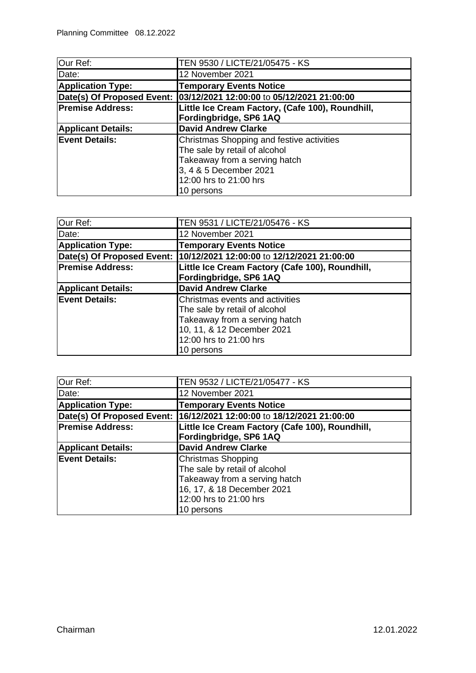| Our Ref:                  | TEN 9530 / LICTE/21/05475 - KS                                        |
|---------------------------|-----------------------------------------------------------------------|
| Date:                     | 12 November 2021                                                      |
| <b>Application Type:</b>  | <b>Temporary Events Notice</b>                                        |
|                           | Date(s) Of Proposed Event: 03/12/2021 12:00:00 to 05/12/2021 21:00:00 |
| <b>Premise Address:</b>   | Little Ice Cream Factory, (Cafe 100), Roundhill,                      |
|                           | Fordingbridge, SP6 1AQ                                                |
| <b>Applicant Details:</b> | <b>David Andrew Clarke</b>                                            |
| <b>Event Details:</b>     | Christmas Shopping and festive activities                             |
|                           | The sale by retail of alcohol                                         |
|                           | Takeaway from a serving hatch                                         |
|                           | 3, 4 & 5 December 2021                                                |
|                           | 12:00 hrs to 21:00 hrs                                                |
|                           | 10 persons                                                            |

| Our Ref:                  | TEN 9531 / LICTE/21/05476 - KS                                          |
|---------------------------|-------------------------------------------------------------------------|
| Date:                     | 12 November 2021                                                        |
| <b>Application Type:</b>  | <b>Temporary Events Notice</b>                                          |
|                           | Date(s) Of Proposed Event:   10/12/2021 12:00:00 to 12/12/2021 21:00:00 |
| <b>Premise Address:</b>   | Little Ice Cream Factory (Cafe 100), Roundhill,                         |
|                           | Fordingbridge, SP6 1AQ                                                  |
| <b>Applicant Details:</b> | <b>David Andrew Clarke</b>                                              |
| <b>Event Details:</b>     | Christmas events and activities                                         |
|                           | The sale by retail of alcohol                                           |
|                           | Takeaway from a serving hatch                                           |
|                           | 10, 11, & 12 December 2021                                              |
|                           | 12:00 hrs to 21:00 hrs                                                  |
|                           | 10 persons                                                              |

| Our Ref:                  | TEN 9532 / LICTE/21/05477 - KS                                            |
|---------------------------|---------------------------------------------------------------------------|
| Date:                     | 12 November 2021                                                          |
| <b>Application Type:</b>  | <b>Temporary Events Notice</b>                                            |
|                           | Date(s) Of Proposed Event:  16/12/2021 12:00:00 to 18/12/2021 21:00:00    |
| <b>Premise Address:</b>   | Little Ice Cream Factory (Cafe 100), Roundhill,<br>Fordingbridge, SP6 1AQ |
| <b>Applicant Details:</b> | <b>David Andrew Clarke</b>                                                |
| <b>Event Details:</b>     | <b>Christmas Shopping</b><br>The sale by retail of alcohol                |
|                           | Takeaway from a serving hatch                                             |
|                           | 16, 17, & 18 December 2021                                                |
|                           | 12:00 hrs to 21:00 hrs                                                    |
|                           | 10 persons                                                                |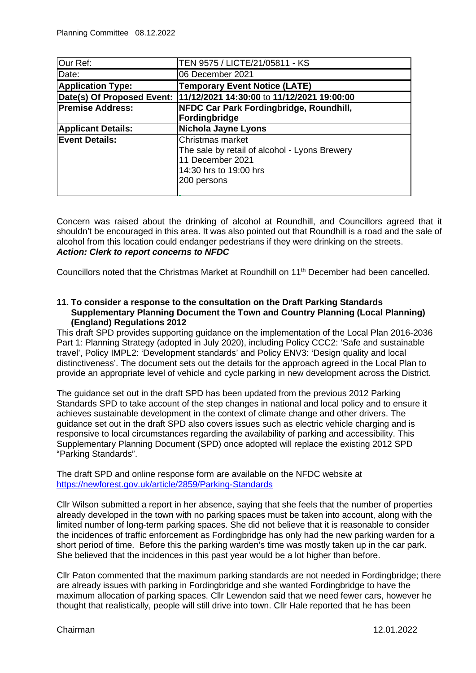| Our Ref:                  | TEN 9575 / LICTE/21/05811 - KS                                                                                                 |
|---------------------------|--------------------------------------------------------------------------------------------------------------------------------|
| Date:                     | 06 December 2021                                                                                                               |
| <b>Application Type:</b>  | <b>Temporary Event Notice (LATE)</b>                                                                                           |
|                           | Date(s) Of Proposed Event: (11/12/2021 14:30:00 to 11/12/2021 19:00:00                                                         |
| <b>Premise Address:</b>   | NFDC Car Park Fordingbridge, Roundhill,                                                                                        |
|                           | Fordingbridge                                                                                                                  |
| <b>Applicant Details:</b> | <b>Nichola Jayne Lyons</b>                                                                                                     |
| <b>Event Details:</b>     | Christmas market<br>The sale by retail of alcohol - Lyons Brewery<br>11 December 2021<br>14:30 hrs to 19:00 hrs<br>200 persons |

Concern was raised about the drinking of alcohol at Roundhill, and Councillors agreed that it shouldn't be encouraged in this area. It was also pointed out that Roundhill is a road and the sale of alcohol from this location could endanger pedestrians if they were drinking on the streets. *Action: Clerk to report concerns to NFDC*

Councillors noted that the Christmas Market at Roundhill on 11<sup>th</sup> December had been cancelled.

#### **11. To consider a response to the consultation on the Draft Parking Standards Supplementary Planning Document the Town and Country Planning (Local Planning) (England) Regulations 2012**

This draft SPD provides supporting guidance on the implementation of the Local Plan 2016-2036 Part 1: Planning Strategy (adopted in July 2020), including Policy CCC2: 'Safe and sustainable travel', Policy IMPL2: 'Development standards' and Policy ENV3: 'Design quality and local distinctiveness'. The document sets out the details for the approach agreed in the Local Plan to provide an appropriate level of vehicle and cycle parking in new development across the District.

The guidance set out in the draft SPD has been updated from the previous 2012 Parking Standards SPD to take account of the step changes in national and local policy and to ensure it achieves sustainable development in the context of climate change and other drivers. The guidance set out in the draft SPD also covers issues such as electric vehicle charging and is responsive to local circumstances regarding the availability of parking and accessibility. This Supplementary Planning Document (SPD) once adopted will replace the existing 2012 SPD "Parking Standards".

The draft SPD and online response form are available on the NFDC website at <https://newforest.gov.uk/article/2859/Parking-Standards>

Cllr Wilson submitted a report in her absence, saying that she feels that the number of properties already developed in the town with no parking spaces must be taken into account, along with the limited number of long-term parking spaces. She did not believe that it is reasonable to consider the incidences of traffic enforcement as Fordingbridge has only had the new parking warden for a short period of time. Before this the parking warden's time was mostly taken up in the car park. She believed that the incidences in this past year would be a lot higher than before.

Cllr Paton commented that the maximum parking standards are not needed in Fordingbridge; there are already issues with parking in Fordingbridge and she wanted Fordingbridge to have the maximum allocation of parking spaces. Cllr Lewendon said that we need fewer cars, however he thought that realistically, people will still drive into town. Cllr Hale reported that he has been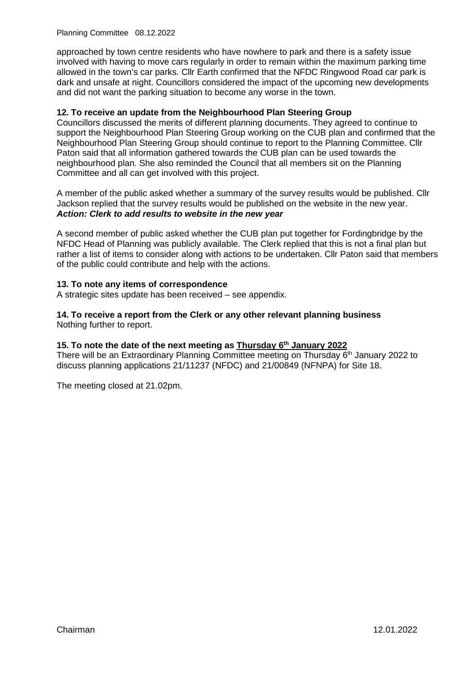Planning Committee 08.12.2022

approached by town centre residents who have nowhere to park and there is a safety issue involved with having to move cars regularly in order to remain within the maximum parking time allowed in the town's car parks. Cllr Earth confirmed that the NFDC Ringwood Road car park is dark and unsafe at night. Councillors considered the impact of the upcoming new developments and did not want the parking situation to become any worse in the town.

## **12. To receive an update from the Neighbourhood Plan Steering Group**

Councillors discussed the merits of different planning documents. They agreed to continue to support the Neighbourhood Plan Steering Group working on the CUB plan and confirmed that the Neighbourhood Plan Steering Group should continue to report to the Planning Committee. Cllr Paton said that all information gathered towards the CUB plan can be used towards the neighbourhood plan. She also reminded the Council that all members sit on the Planning Committee and all can get involved with this project.

A member of the public asked whether a summary of the survey results would be published. Cllr Jackson replied that the survey results would be published on the website in the new year. *Action: Clerk to add results to website in the new year*

A second member of public asked whether the CUB plan put together for Fordingbridge by the NFDC Head of Planning was publicly available. The Clerk replied that this is not a final plan but rather a list of items to consider along with actions to be undertaken. Cllr Paton said that members of the public could contribute and help with the actions.

### **13. To note any items of correspondence**

A strategic sites update has been received – see appendix.

**14. To receive a report from the Clerk or any other relevant planning business**  Nothing further to report.

## **15. To note the date of the next meeting as Thursday 6th January 2022**

There will be an Extraordinary Planning Committee meeting on Thursday  $6<sup>th</sup>$  January 2022 to discuss planning applications 21/11237 (NFDC) and 21/00849 (NFNPA) for Site 18.

The meeting closed at 21.02pm.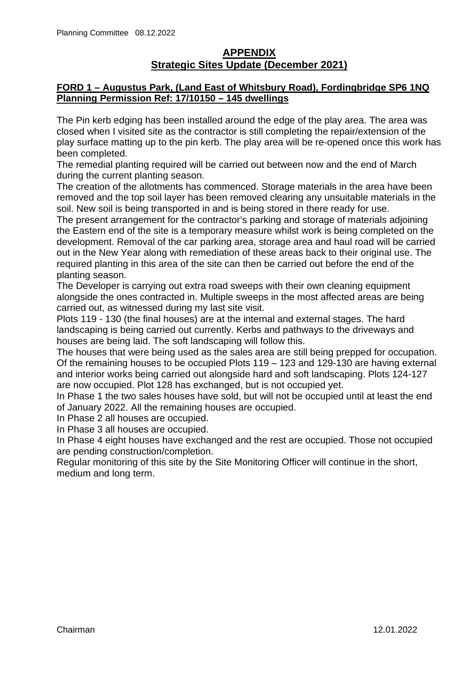# **APPENDIX Strategic Sites Update (December 2021)**

## **FORD 1 – Augustus Park, (Land East of Whitsbury Road), Fordingbridge SP6 1NQ Planning Permission Ref: 17/10150 – 145 dwellings**

The Pin kerb edging has been installed around the edge of the play area. The area was closed when I visited site as the contractor is still completing the repair/extension of the play surface matting up to the pin kerb. The play area will be re-opened once this work has been completed.

The remedial planting required will be carried out between now and the end of March during the current planting season.

The creation of the allotments has commenced. Storage materials in the area have been removed and the top soil layer has been removed clearing any unsuitable materials in the soil. New soil is being transported in and is being stored in there ready for use.

The present arrangement for the contractor's parking and storage of materials adjoining the Eastern end of the site is a temporary measure whilst work is being completed on the development. Removal of the car parking area, storage area and haul road will be carried out in the New Year along with remediation of these areas back to their original use. The required planting in this area of the site can then be carried out before the end of the planting season.

The Developer is carrying out extra road sweeps with their own cleaning equipment alongside the ones contracted in. Multiple sweeps in the most affected areas are being carried out, as witnessed during my last site visit.

Plots 119 - 130 (the final houses) are at the internal and external stages. The hard landscaping is being carried out currently. Kerbs and pathways to the driveways and houses are being laid. The soft landscaping will follow this.

The houses that were being used as the sales area are still being prepped for occupation. Of the remaining houses to be occupied Plots 119 – 123 and 129-130 are having external and interior works being carried out alongside hard and soft landscaping. Plots 124-127 are now occupied. Plot 128 has exchanged, but is not occupied yet.

In Phase 1 the two sales houses have sold, but will not be occupied until at least the end of January 2022. All the remaining houses are occupied.

In Phase 2 all houses are occupied.

In Phase 3 all houses are occupied.

In Phase 4 eight houses have exchanged and the rest are occupied. Those not occupied are pending construction/completion.

Regular monitoring of this site by the Site Monitoring Officer will continue in the short, medium and long term.